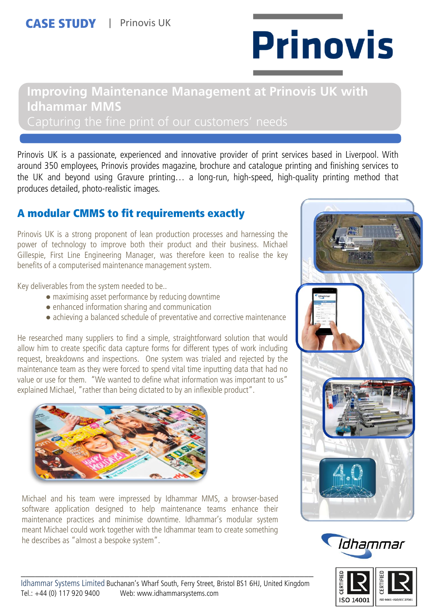# **Prinovis**

# **Improving Maintenance Management at Prinovis UK with Idhammar MMS**

Prinovis UK is a passionate, experienced and innovative provider of print services based in Liverpool. With around 350 employees, Prinovis provides magazine, brochure and catalogue printing and finishing services to the UK and beyond using Gravure printing… a long-run, high-speed, high-quality printing method that produces detailed, photo-realistic images.

# A modular CMMS to fit requirements exactly

Prinovis UK is a strong proponent of lean production processes and harnessing the power of technology to improve both their product and their business. Michael Gillespie, First Line Engineering Manager, was therefore keen to realise the key benefits of a computerised maintenance management system.

Key deliverables from the system needed to be..

- maximising asset performance by reducing downtime
- enhanced information sharing and communication
- achieving a balanced schedule of preventative and corrective maintenance

He researched many suppliers to find a simple, straightforward solution that would allow him to create specific data capture forms for different types of work including request, breakdowns and inspections. One system was trialed and rejected by the maintenance team as they were forced to spend vital time inputting data that had no value or use for them. "We wanted to define what information was important to us" explained Michael, "rather than being dictated to by an inflexible product".



Michael and his team were impressed by Idhammar MMS, a browser-based software application designed to help maintenance teams enhance their maintenance practices and minimise downtime. Idhammar's modular system meant Michael could work together with the Idhammar team to create something he describes as "almost a bespoke system".







\_\_\_\_\_\_\_\_\_\_\_\_\_\_\_\_\_\_\_\_\_\_\_\_\_\_\_\_\_\_\_\_\_\_\_\_\_\_\_\_\_\_\_\_\_\_\_\_\_\_\_\_\_\_\_\_\_\_\_\_\_\_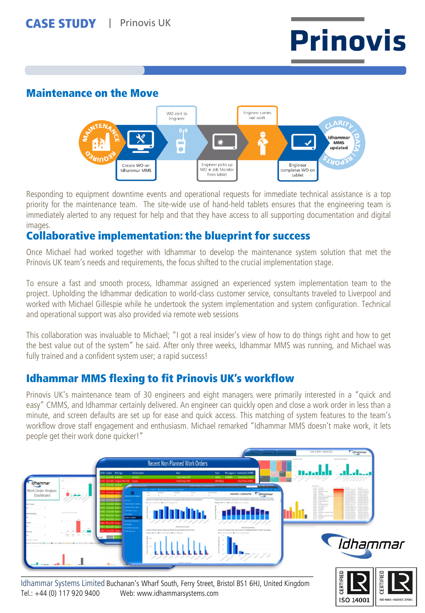

#### Maintenance on the Move



Responding to equipment downtime events and operational requests for immediate technical assistance is a top priority for the maintenance team. The site-wide use of hand-held tablets ensures that the engineering team is immediately alerted to any request for help and that they have access to all supporting documentation and digital images.

# Collaborative implementation: the blueprint for success

Once Michael had worked together with Idhammar to develop the maintenance system solution that met the Prinovis UK team's needs and requirements, the focus shifted to the crucial implementation stage.

To ensure a fast and smooth process, Idhammar assigned an experienced system implementation team to the project. Upholding the Idhammar dedication to world-class customer service, consultants traveled to Liverpool and worked with Michael Gillespie while he undertook the system implementation and system configuration. Technical and operational support was also provided via remote web sessions

This collaboration was invaluable to Michael; "I got a real insider's view of how to do things right and how to get the best value out of the system" he said. After only three weeks, Idhammar MMS was running, and Michael was fully trained and a confident system user; a rapid success!

# Idhammar MMS flexing to fit Prinovis UK's workflow

Prinovis UK's maintenance team of 30 engineers and eight managers were primarily interested in a "quick and easy" CMMS, and Idhammar certainly delivered. An engineer can quickly open and close a work order in less than a minute, and screen defaults are set up for ease and quick access. This matching of system features to the team's workflow drove staff engagement and enthusiasm. Michael remarked "Idhammar MMS doesn't make work, it lets people get their work done quicker!"



Idhammar Systems Limited Buchanan's Wharf South, Ferry Street, Bristol BS1 6HJ, United Kingdom Tel.: +44 (0) 117 920 9400 Web: www.idhammarsystems.com